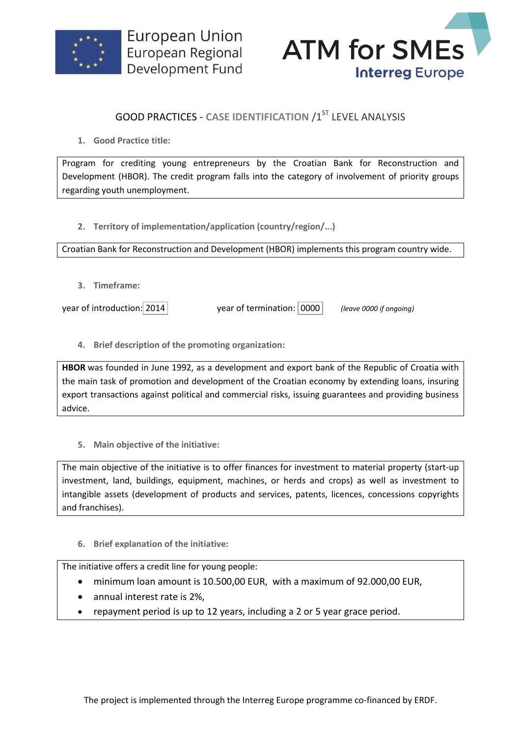



## **GOOD PRACTICES - CASE IDENTIFICATION /1ST LEVEL ANALYSIS**

**1. Good Practice title:**

Program for crediting young entrepreneurs by the Croatian Bank for Reconstruction and Development (HBOR). The credit program falls into the category of involvement of priority groups regarding youth unemployment.

**2. Territory of implementation/application (country/region/...)**

Croatian Bank for Reconstruction and Development (HBOR) implements this program country wide.

**3. Timeframe:**

year of introduction: 2014 year of termination: 0000 *(leave 0000 if ongoing)*

**4. Brief description of the promoting organization:**

**HBOR** was founded in June 1992, as a development and export bank of the Republic of Croatia with the main task of promotion and development of the Croatian economy by extending loans, insuring export transactions against political and commercial risks, issuing guarantees and providing business advice.

**5. Main objective of the initiative:**

The main objective of the initiative is to offer finances for investment to material property (start-up investment, land, buildings, equipment, machines, or herds and crops) as well as investment to intangible assets (development of products and services, patents, licences, concessions copyrights and franchises).

**6. Brief explanation of the initiative:**

The initiative offers a credit line for young people:

- minimum loan amount is 10.500,00 EUR, with a maximum of 92.000,00 EUR,
- annual interest rate is 2%,
- repayment period is up to 12 years, including a 2 or 5 year grace period.